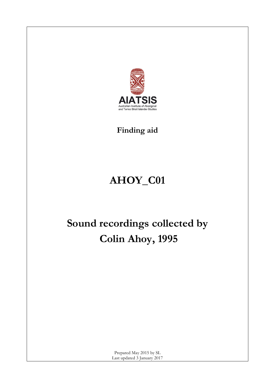

### **Finding aid**

## **AHOY\_C01**

# **Sound recordings collected by Colin Ahoy, 1995**

Prepared May 2015 by SL Last updated 3 January 2017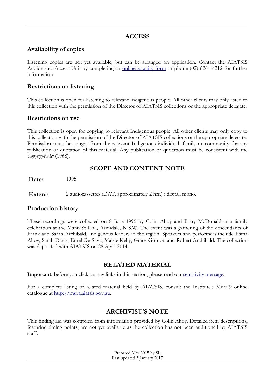#### **ACCESS**

#### **Availability of copies**

Listening copies are not yet available, but can be arranged on application. Contact the AIATSIS Audiovisual Access Unit by completing an [online enquiry form](http://www.aiatsis.gov.au/ava/ava.aspx) or phone (02) 6261 4212 for further information.

#### **Restrictions on listening**

This collection is open for listening to relevant Indigenous people. All other clients may only listen to this collection with the permission of the Director of AIATSIS collections or the appropriate delegate.

#### **Restrictions on use**

This collection is open for copying to relevant Indigenous people. All other clients may only copy to this collection with the permission of the Director of AIATSIS collections or the appropriate delegate. Permission must be sought from the relevant Indigenous individual, family or community for any publication or quotation of this material. Any publication or quotation must be consistent with the *Copyright Act* (1968).

#### **SCOPE AND CONTENT NOTE**

**Date:** 1995

**Extent:** 2 audiocassettes (DAT, approximately 2 hrs.) : digital, mono.

#### **Production history**

These recordings were collected on 8 June 1995 by Colin Ahoy and Barry McDonald at a family celebration at the Mann St Hall, Armidale, N.S.W. The event was a gathering of the descendants of Frank and Sarah Archibald, Indigenous leaders in the region. Speakers and performers include Esma Ahoy, Sarah Davis, Ethel De Silva, Maisie Kelly, Grace Gordon and Robert Archibald. The collection was deposited with AIATSIS on 28 April 2014.

#### **RELATED MATERIAL**

Important: before you click on any links in this section, please read our [sensitivity](http://www.aiatsis.gov.au/collections/muraread.html) message.

For a complete listing of related material held by AIATSIS, consult the Institute's Mura® online catalogue at [http://mura.aiatsis.gov.au.](http://mura.aiatsis.gov.au/)

#### **ARCHIVIST'S NOTE**

This finding aid was compiled from information provided by Colin Ahoy. Detailed item descriptions, featuring timing points, are not yet available as the collection has not been auditioned by AIATSIS staff.

> Prepared May 2015 by SL Last updated 3 January 2017